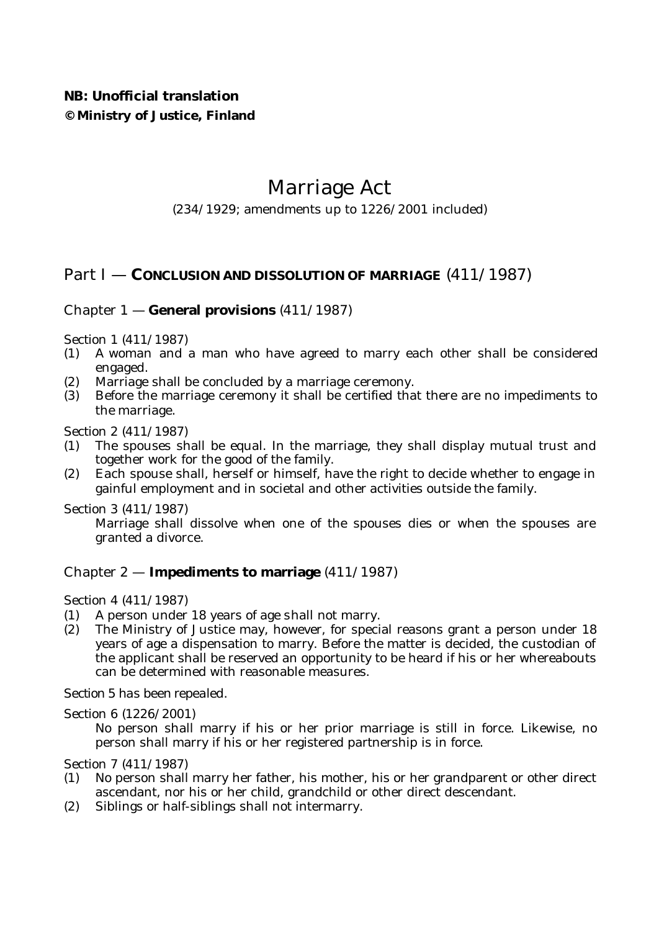# **NB: Unofficial translation © Ministry of Justice, Finland**

# Marriage Act

(234/1929; amendments up to 1226/2001 included)

# Part I — **CONCLUSION AND DISSOLUTION OF MARRIAGE** (411/1987)

## Chapter 1 — **General provisions** (411/1987)

Section 1 (411/1987)

- (1) A woman and a man who have agreed to marry each other shall be considered engaged.
- (2) Marriage shall be concluded by a marriage ceremony.
- (3) Before the marriage ceremony it shall be certified that there are no impediments to the marriage.

Section 2 (411/1987)

- (1) The spouses shall be equal. In the marriage, they shall display mutual trust and together work for the good of the family.
- (2) Each spouse shall, herself or himself, have the right to decide whether to engage in gainful employment and in societal and other activities outside the family.

Section 3 (411/1987)

Marriage shall dissolve when one of the spouses dies or when the spouses are granted a divorce.

#### Chapter 2 — **Impediments to marriage** (411/1987)

Section 4 (411/1987)

- (1) A person under 18 years of age shall not marry.
- (2) The Ministry of Justice may, however, for special reasons grant a person under 18 years of age a dispensation to marry. Before the matter is decided, the custodian of the applicant shall be reserved an opportunity to be heard if his or her whereabouts can be determined with reasonable measures.

*Section 5 has been repealed.*

Section 6 (1226/2001)

No person shall marry if his or her prior marriage is still in force. Likewise, no person shall marry if his or her registered partnership is in force.

Section 7 (411/1987)

- (1) No person shall marry her father, his mother, his or her grandparent or other direct ascendant, nor his or her child, grandchild or other direct descendant.
- (2) Siblings or half-siblings shall not intermarry.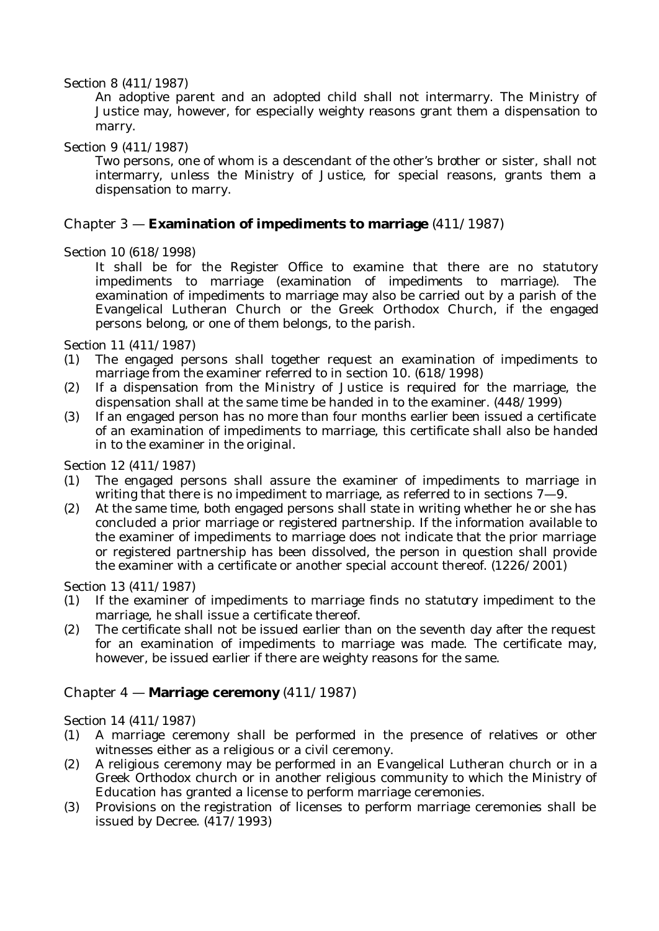#### Section 8 (411/1987)

An adoptive parent and an adopted child shall not intermarry. The Ministry of Justice may, however, for especially weighty reasons grant them a dispensation to marry.

## Section 9 (411/1987)

Two persons, one of whom is a descendant of the other's brother or sister, shall not intermarry, unless the Ministry of Justice, for special reasons, grants them a dispensation to marry.

## Chapter 3 — **Examination of impediments to marriage** (411/1987)

## Section 10 (618/1998)

It shall be for the Register Office to examine that there are no statutory impediments to marriage (*examination of impediments to marriage*). The examination of impediments to marriage may also be carried out by a parish of the Evangelical Lutheran Church or the Greek Orthodox Church, if the engaged persons belong, or one of them belongs, to the parish.

Section 11 (411/1987)

- (1) The engaged persons shall together request an examination of impediments to marriage from the examiner referred to in section 10. (618/1998)
- (2) If a dispensation from the Ministry of Justice is required for the marriage, the dispensation shall at the same time be handed in to the examiner. (448/1999)
- (3) If an engaged person has no more than four months earlier been issued a certificate of an examination of impediments to marriage, this certificate shall also be handed in to the examiner in the original.

Section 12 (411/1987)

- (1) The engaged persons shall assure the examiner of impediments to marriage in writing that there is no impediment to marriage, as referred to in sections  $7-9$ .
- (2) At the same time, both engaged persons shall state in writing whether he or she has concluded a prior marriage or registered partnership. If the information available to the examiner of impediments to marriage does not indicate that the prior marriage or registered partnership has been dissolved, the person in question shall provide the examiner with a certificate or another special account thereof. (1226/2001)

#### Section 13 (411/1987)

- (1) If the examiner of impediments to marriage finds no statutory impediment to the marriage, he shall issue a certificate thereof.
- (2) The certificate shall not be issued earlier than on the seventh day after the request for an examination of impediments to marriage was made. The certificate may, however, be issued earlier if there are weighty reasons for the same.

## Chapter 4 — **Marriage ceremony** (411/1987)

#### Section 14 (411/1987)

- (1) A marriage ceremony shall be performed in the presence of relatives or other witnesses either as a religious or a civil ceremony.
- (2) A religious ceremony may be performed in an Evangelical Lutheran church or in a Greek Orthodox church or in another religious community to which the Ministry of Education has granted a license to perform marriage ceremonies.
- (3) Provisions on the registration of licenses to perform marriage ceremonies shall be issued by Decree.  $(4\overline{17}/1993)$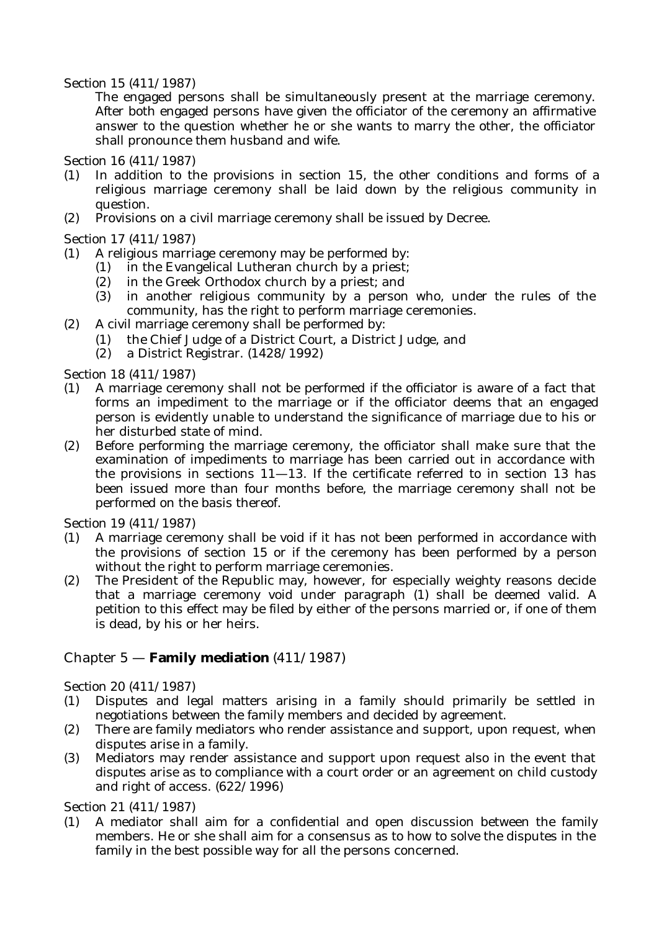#### Section 15 (411/1987)

The engaged persons shall be simultaneously present at the marriage ceremony. After both engaged persons have given the officiator of the ceremony an affirmative answer to the question whether he or she wants to marry the other, the officiator shall pronounce them husband and wife.

Section 16 (411/1987)

- (1) In addition to the provisions in section 15, the other conditions and forms of a religious marriage ceremony shall be laid down by the religious community in question.
- (2) Provisions on a civil marriage ceremony shall be issued by Decree.

Section 17 (411/1987)

- (1) A religious marriage ceremony may be performed by:
	- (1) in the Evangelical Lutheran church by a priest;
	- (2) in the Greek Orthodox church by a priest; and
	- (3) in another religious community by a person who, under the rules of the community, has the right to perform marriage ceremonies.
- (2) A civil marriage ceremony shall be performed by:
	- (1) the Chief Judge of a District Court, a District Judge, and
	- (2) a District Registrar. (1428/1992)

Section 18 (411/1987)

- (1) A marriage ceremony shall not be performed if the officiator is aware of a fact that forms an impediment to the marriage or if the officiator deems that an engaged person is evidently unable to understand the significance of marriage due to his or her disturbed state of mind.
- (2) Before performing the marriage ceremony, the officiator shall make sure that the examination of impediments to marriage has been carried out in accordance with the provisions in sections  $11-13$ . If the certificate referred to in section 13 has been issued more than four months before, the marriage ceremony shall not be performed on the basis thereof.

Section 19 (411/1987)

- (1) A marriage ceremony shall be void if it has not been performed in accordance with the provisions of section 15 or if the ceremony has been performed by a person without the right to perform marriage ceremonies.
- (2) The President of the Republic may, however, for especially weighty reasons decide that a marriage ceremony void under paragraph (1) shall be deemed valid. A petition to this effect may be filed by either of the persons married or, if one of them is dead, by his or her heirs.

## Chapter 5 — **Family mediation** (411/1987)

Section 20 (411/1987)

- (1) Disputes and legal matters arising in a family should primarily be settled in negotiations between the family members and decided by agreement.
- (2) There are family mediators who render assistance and support, upon request, when disputes arise in a family.
- (3) Mediators may render assistance and support upon request also in the event that disputes arise as to compliance with a court order or an agreement on child custody and right of access. (622/1996)

Section 21 (411/1987)

(1) A mediator shall aim for a confidential and open discussion between the family members. He or she shall aim for a consensus as to how to solve the disputes in the family in the best possible way for all the persons concerned.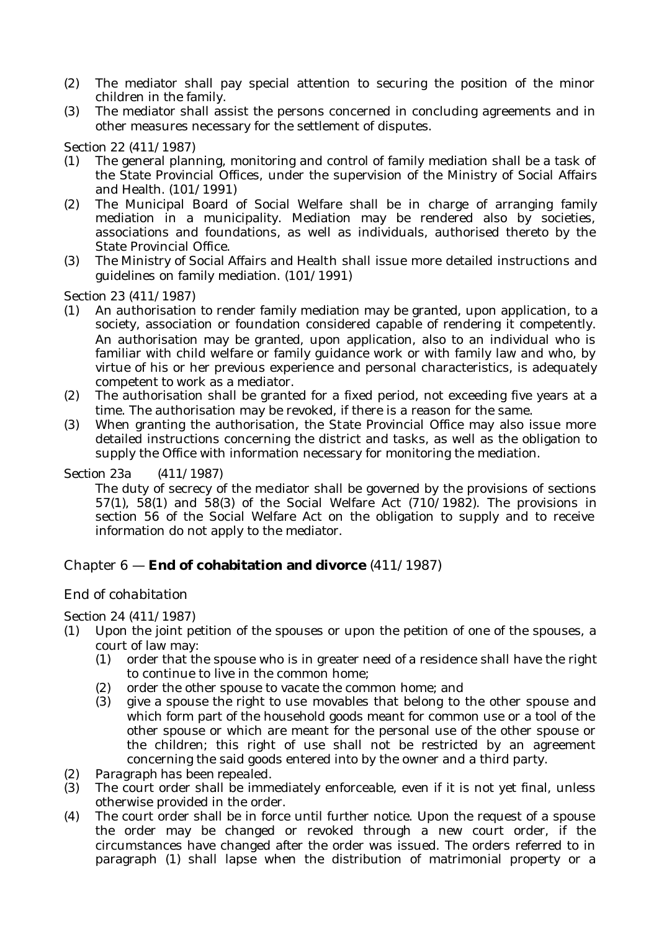- (2) The mediator shall pay special attention to securing the position of the minor children in the family.
- (3) The mediator shall assist the persons concerned in concluding agreements and in other measures necessary for the settlement of disputes.

Section 22 (411/1987)

- (1) The general planning, monitoring and control of family mediation shall be a task of the State Provincial Offices, under the supervision of the Ministry of Social Affairs and Health. (101/1991)
- (2) The Municipal Board of Social Welfare shall be in charge of arranging family mediation in a municipality. Mediation may be rendered also by societies, associations and foundations, as well as individuals, authorised thereto by the State Provincial Office.
- (3) The Ministry of Social Affairs and Health shall issue more detailed instructions and guidelines on family mediation. (101/1991)

Section 23 (411/1987)

- (1) An authorisation to render family mediation may be granted, upon application, to a society, association or foundation considered capable of rendering it competently. An authorisation may be granted, upon application, also to an individual who is familiar with child welfare or family guidance work or with family law and who, by virtue of his or her previous experience and personal characteristics, is adequately competent to work as a mediator.
- (2) The authorisation shall be granted for a fixed period, not exceeding five years at a time. The authorisation may be revoked, if there is a reason for the same.
- (3) When granting the authorisation, the State Provincial Office may also issue more detailed instructions concerning the district and tasks, as well as the obligation to supply the Office with information necessary for monitoring the mediation.

#### Section 23a (411/1987)

The duty of secrecy of the mediator shall be governed by the provisions of sections  $57(1)$ ,  $58(1)$  and  $58(3)$  of the Social Welfare Act  $(710/1982)$ . The provisions in section 56 of the Social Welfare Act on the obligation to supply and to receive information do not apply to the mediator.

## Chapter 6 — **End of cohabitation and divorce** (411/1987)

## *End of cohabitation*

Section 24 (411/1987)

- (1) Upon the joint petition of the spouses or upon the petition of one of the spouses, a court of law may:
	- (1) order that the spouse who is in greater need of a residence shall have the right to continue to live in the common home;
	- (2) order the other spouse to vacate the common home; and
	- (3) give a spouse the right to use movables that belong to the other spouse and which form part of the household goods meant for common use or a tool of the other spouse or which are meant for the personal use of the other spouse or the children; this right of use shall not be restricted by an agreement concerning the said goods entered into by the owner and a third party.
- (2) *Paragraph has been repealed.*
- (3) The court order shall be immediately enforceable, even if it is not yet final, unless otherwise provided in the order.
- (4) The court order shall be in force until further notice. Upon the request of a spouse the order may be changed or revoked through a new court order, if the circumstances have changed after the order was issued. The orders referred to in paragraph (1) shall lapse when the distribution of matrimonial property or a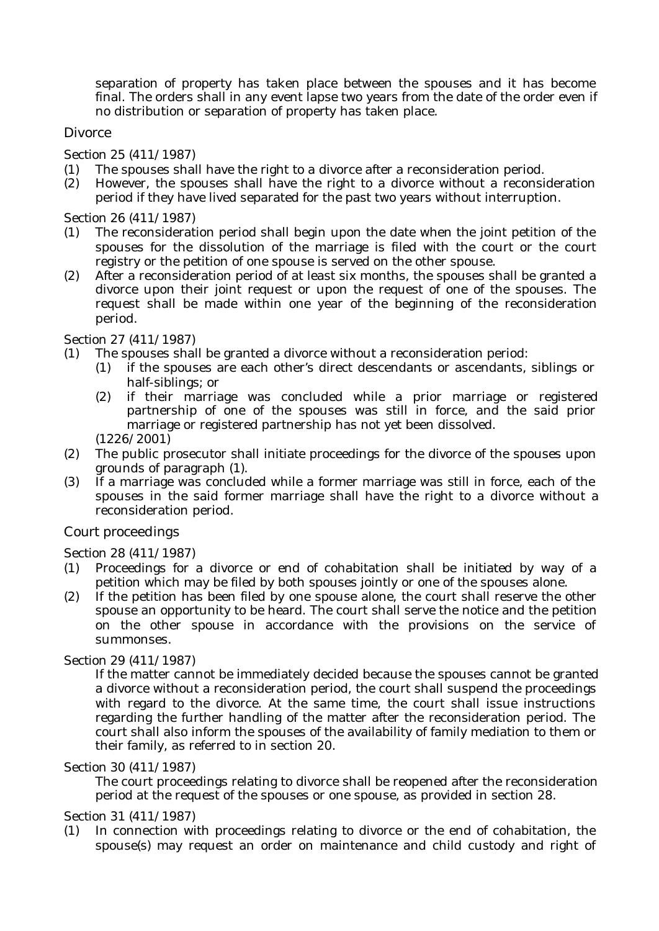separation of property has taken place between the spouses and it has become final. The orders shall in any event lapse two years from the date of the order even if no distribution or separation of property has taken place.

## *Divorce*

Section 25 (411/1987)

- (1) The spouses shall have the right to a divorce after a reconsideration period.
- (2) However, the spouses shall have the right to a divorce without a reconsideration period if they have lived separated for the past two years without interruption.

Section 26 (411/1987)

- (1) The reconsideration period shall begin upon the date when the joint petition of the spouses for the dissolution of the marriage is filed with the court or the court registry or the petition of one spouse is served on the other spouse.
- (2) After a reconsideration period of at least six months, the spouses shall be granted a divorce upon their joint request or upon the request of one of the spouses. The request shall be made within one year of the beginning of the reconsideration period.

#### Section 27 (411/1987)

- (1) The spouses shall be granted a divorce without a reconsideration period:
	- (1) if the spouses are each other's direct descendants or ascendants, siblings or half-siblings; or
	- (2) if their marriage was concluded while a prior marriage or registered partnership of one of the spouses was still in force, and the said prior marriage or registered partnership has not yet been dissolved.
	- (1226/2001)
- (2) The public prosecutor shall initiate proceedings for the divorce of the spouses upon grounds of paragraph (1).
- (3) If a marriage was concluded while a former marriage was still in force, each of the spouses in the said former marriage shall have the right to a divorce without a reconsideration period.

#### *Court proceedings*

#### Section 28 (411/1987)

- (1) Proceedings for a divorce or end of cohabitation shall be initiated by way of a petition which may be filed by both spouses jointly or one of the spouses alone.
- (2) If the petition has been filed by one spouse alone, the court shall reserve the other spouse an opportunity to be heard. The court shall serve the notice and the petition on the other spouse in accordance with the provisions on the service of summonses.

#### Section 29 (411/1987)

If the matter cannot be immediately decided because the spouses cannot be granted a divorce without a reconsideration period, the court shall suspend the proceedings with regard to the divorce. At the same time, the court shall issue instructions regarding the further handling of the matter after the reconsideration period. The court shall also inform the spouses of the availability of family mediation to them or their family, as referred to in section 20.

#### Section 30 (411/1987)

The court proceedings relating to divorce shall be reopened after the reconsideration period at the request of the spouses or one spouse, as provided in section 28.

#### Section 31 (411/1987)

(1) In connection with proceedings relating to divorce or the end of cohabitation, the spouse(s) may request an order on maintenance and child custody and right of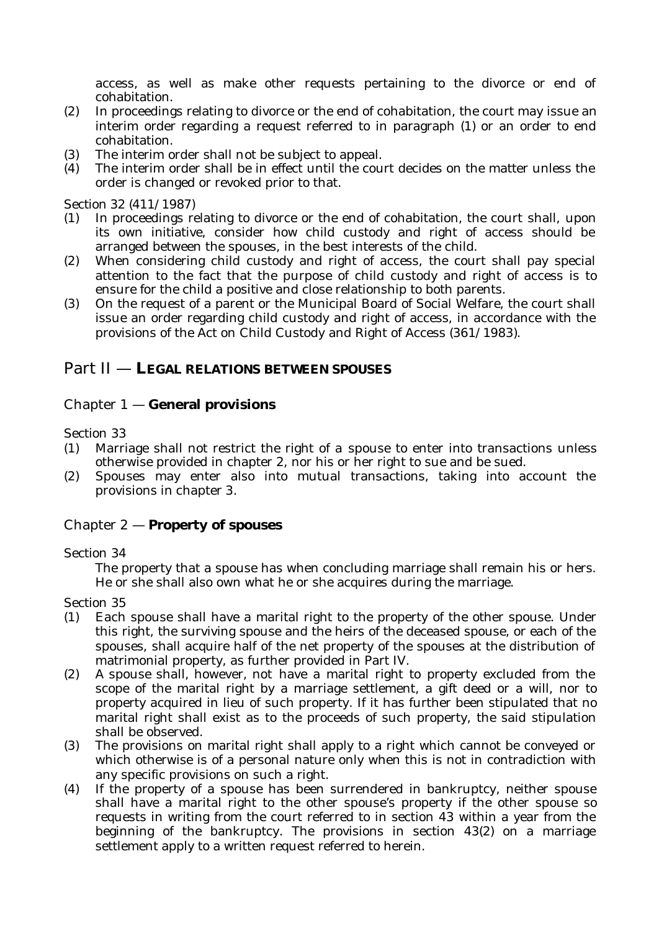access, as well as make other requests pertaining to the divorce or end of cohabitation.

- (2) In proceedings relating to divorce or the end of cohabitation, the court may issue an interim order regarding a request referred to in paragraph (1) or an order to end cohabitation.
- (3) The interim order shall not be subject to appeal.
- (4) The interim order shall be in effect until the court decides on the matter unless the order is changed or revoked prior to that.

#### Section 32 (411/1987)

- (1) In proceedings relating to divorce or the end of cohabitation, the court shall, upon its own initiative, consider how child custody and right of access should be arranged between the spouses, in the best interests of the child.
- (2) When considering child custody and right of access, the court shall pay special attention to the fact that the purpose of child custody and right of access is to ensure for the child a positive and close relationship to both parents.
- (3) On the request of a parent or the Municipal Board of Social Welfare, the court shall issue an order regarding child custody and right of access, in accordance with the provisions of the Act on Child Custody and Right of Access (361/1983).

## Part II — **LEGAL RELATIONS BETWEEN SPOUSES**

## Chapter 1 — **General provisions**

Section 33

- (1) Marriage shall not restrict the right of a spouse to enter into transactions unless otherwise provided in chapter 2, nor his or her right to sue and be sued.
- (2) Spouses may enter also into mutual transactions, taking into account the provisions in chapter 3.

#### Chapter 2 — **Property of spouses**

#### Section 34

The property that a spouse has when concluding marriage shall remain his or hers. He or she shall also own what he or she acquires during the marriage.

#### Section 35

- (1) Each spouse shall have a marital right to the property of the other spouse. Under this right, the surviving spouse and the heirs of the deceased spouse, or each of the spouses, shall acquire half of the net property of the spouses at the distribution of matrimonial property, as further provided in Part IV.
- (2) A spouse shall, however, not have a marital right to property excluded from the scope of the marital right by a marriage settlement, a gift deed or a will, nor to property acquired in lieu of such property. If it has further been stipulated that no marital right shall exist as to the proceeds of such property, the said stipulation shall be observed.
- (3) The provisions on marital right shall apply to a right which cannot be conveyed or which otherwise is of a personal nature only when this is not in contradiction with any specific provisions on such a right.
- (4) If the property of a spouse has been surrendered in bankruptcy, neither spouse shall have a marital right to the other spouse's property if the other spouse so requests in writing from the court referred to in section 43 within a year from the beginning of the bankruptcy. The provisions in section 43(2) on a marriage settlement apply to a written request referred to herein.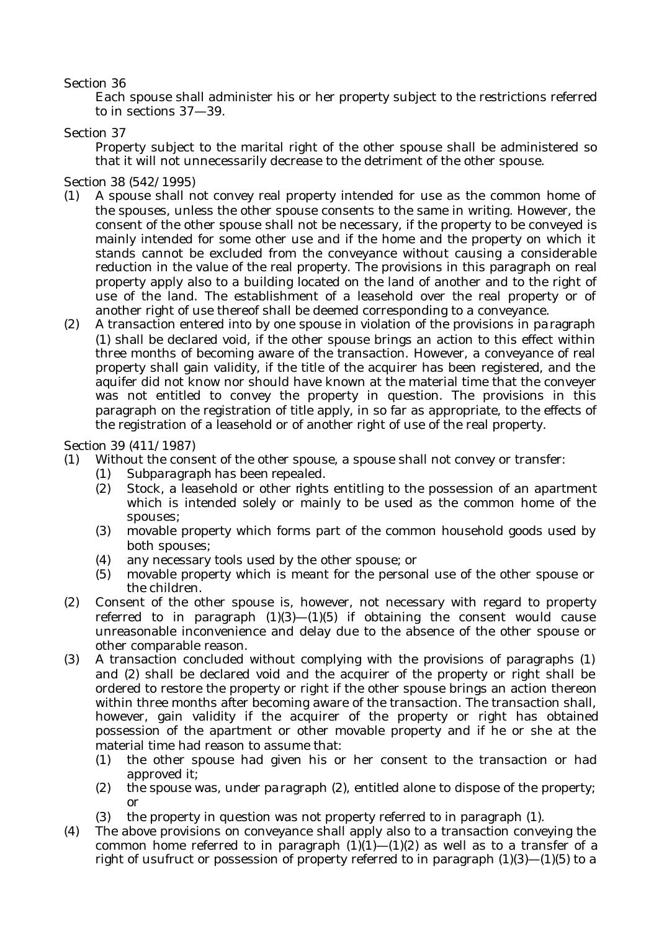#### Section 36

Each spouse shall administer his or her property subject to the restrictions referred to in sections 37—39.

#### Section 37

Property subject to the marital right of the other spouse shall be administered so that it will not unnecessarily decrease to the detriment of the other spouse.

Section 38 (542/1995)

- (1) A spouse shall not convey real property intended for use as the common home of the spouses, unless the other spouse consents to the same in writing. However, the consent of the other spouse shall not be necessary, if the property to be conveyed is mainly intended for some other use and if the home and the property on which it stands cannot be excluded from the conveyance without causing a considerable reduction in the value of the real property. The provisions in this paragraph on real property apply also to a building located on the land of another and to the right of use of the land. The establishment of a leasehold over the real property or of another right of use thereof shall be deemed corresponding to a conveyance.
- (2) A transaction entered into by one spouse in violation of the provisions in paragraph (1) shall be declared void, if the other spouse brings an action to this effect within three months of becoming aware of the transaction. However, a conveyance of real property shall gain validity, if the title of the acquirer has been registered, and the aquifer did not know nor should have known at the material time that the conveyer was not entitled to convey the property in question. The provisions in this paragraph on the registration of title apply, in so far as appropriate, to the effects of the registration of a leasehold or of another right of use of the real property.

Section 39 (411/1987)

- (1) Without the consent of the other spouse, a spouse shall not convey or transfer:
	- (1) *Subparagraph has been repealed.*
		- (2) Stock, a leasehold or other rights entitling to the possession of an apartment which is intended solely or mainly to be used as the common home of the spouses;
		- (3) movable property which forms part of the common household goods used by both spouses;
		- (4) any necessary tools used by the other spouse; or
		- (5) movable property which is meant for the personal use of the other spouse or the children.
- (2) Consent of the other spouse is, however, not necessary with regard to property referred to in paragraph  $(1)(3)$ — $(1)(5)$  if obtaining the consent would cause unreasonable inconvenience and delay due to the absence of the other spouse or other comparable reason.
- (3) A transaction concluded without complying with the provisions of paragraphs (1) and (2) shall be declared void and the acquirer of the property or right shall be ordered to restore the property or right if the other spouse brings an action thereon within three months after becoming aware of the transaction. The transaction shall, however, gain validity if the acquirer of the property or right has obtained possession of the apartment or other movable property and if he or she at the material time had reason to assume that:
	- (1) the other spouse had given his or her consent to the transaction or had approved it;
	- (2) the spouse was, under paragraph (2), entitled alone to dispose of the property; or
	- (3) the property in question was not property referred to in paragraph (1).
- (4) The above provisions on conveyance shall apply also to a transaction conveying the common home referred to in paragraph  $(1)(1)$ — $(1)(2)$  as well as to a transfer of a right of usufruct or possession of property referred to in paragraph  $(1)(3)$ — $(1)(5)$  to a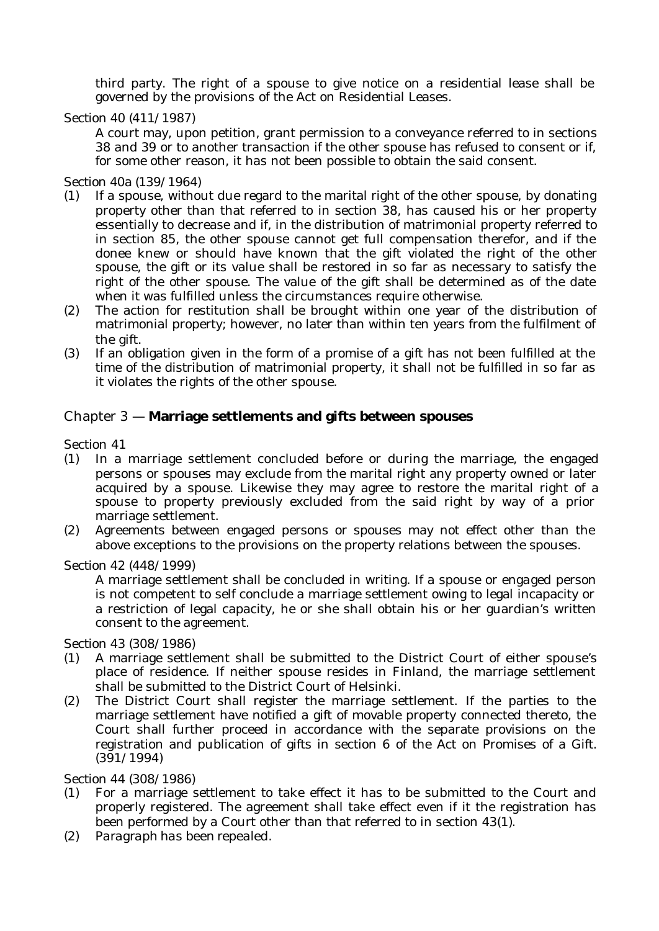third party. The right of a spouse to give notice on a residential lease shall be governed by the provisions of the Act on Residential Leases.

Section 40 (411/1987)

A court may, upon petition, grant permission to a conveyance referred to in sections 38 and 39 or to another transaction if the other spouse has refused to consent or if, for some other reason, it has not been possible to obtain the said consent.

Section 40a (139/1964)

- (1) If a spouse, without due regard to the marital right of the other spouse, by donating property other than that referred to in section 38, has caused his or her property essentially to decrease and if, in the distribution of matrimonial property referred to in section 85, the other spouse cannot get full compensation therefor, and if the donee knew or should have known that the gift violated the right of the other spouse, the gift or its value shall be restored in so far as necessary to satisfy the right of the other spouse. The value of the gift shall be determined as of the date when it was fulfilled unless the circumstances require otherwise.
- (2) The action for restitution shall be brought within one year of the distribution of matrimonial property; however, no later than within ten years from the fulfilment of the gift.
- (3) If an obligation given in the form of a promise of a gift has not been fulfilled at the time of the distribution of matrimonial property, it shall not be fulfilled in so far as it violates the rights of the other spouse.

## Chapter 3 — **Marriage settlements and gifts between spouses**

Section 41

- (1) In a marriage settlement concluded before or during the marriage, the engaged persons or spouses may exclude from the marital right any property owned or later acquired by a spouse. Likewise they may agree to restore the marital right of a spouse to property previously excluded from the said right by way of a prior marriage settlement.
- (2) Agreements between engaged persons or spouses may not effect other than the above exceptions to the provisions on the property relations between the spouses.

Section 42 (448/1999)

A marriage settlement shall be concluded in writing. If a spouse or engaged person is not competent to self conclude a marriage settlement owing to legal incapacity or a restriction of legal capacity, he or she shall obtain his or her guardian's written consent to the agreement.

Section 43 (308/1986)

- (1) A marriage settlement shall be submitted to the District Court of either spouse's place of residence. If neither spouse resides in Finland, the marriage settlement shall be submitted to the District Court of Helsinki.
- (2) The District Court shall register the marriage settlement. If the parties to the marriage settlement have notified a gift of movable property connected thereto, the Court shall further proceed in accordance with the separate provisions on the registration and publication of gifts in section 6 of the Act on Promises of a Gift. (391/1994)

Section 44 (308/1986)

- (1) For a marriage settlement to take effect it has to be submitted to the Court and properly registered. The agreement shall take effect even if it the registration has been performed by a Court other than that referred to in section 43(1).
- (2) *Paragraph has been repealed.*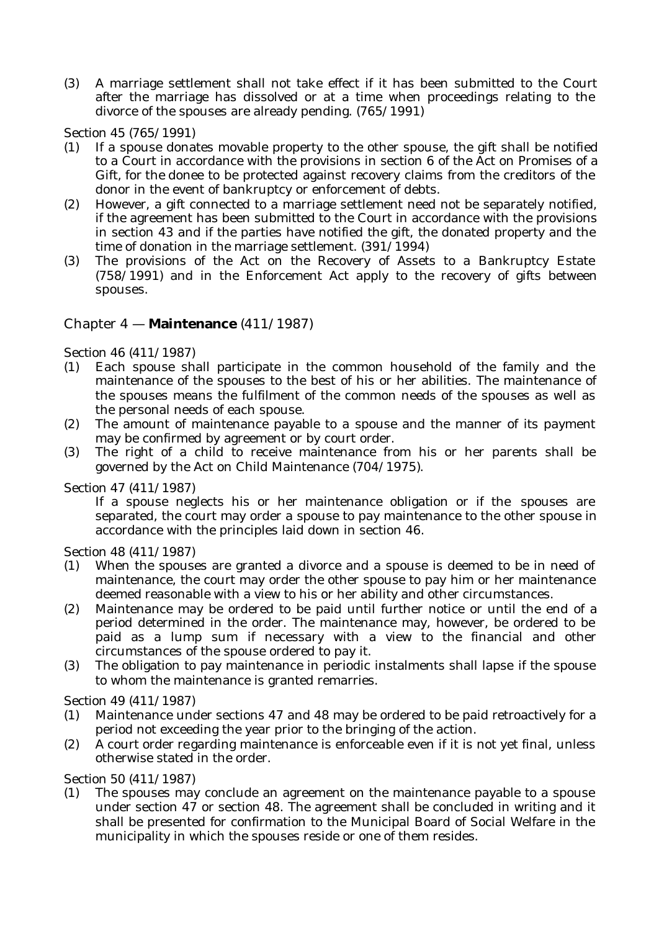(3) A marriage settlement shall not take effect if it has been submitted to the Court after the marriage has dissolved or at a time when proceedings relating to the divorce of the spouses are already pending. (765/1991)

Section 45 (765/1991)

- (1) If a spouse donates movable property to the other spouse, the gift shall be notified to a Court in accordance with the provisions in section 6 of the Act on Promises of a Gift, for the donee to be protected against recovery claims from the creditors of the donor in the event of bankruptcy or enforcement of debts.
- (2) However, a gift connected to a marriage settlement need not be separately notified, if the agreement has been submitted to the Court in accordance with the provisions in section 43 and if the parties have notified the gift, the donated property and the time of donation in the marriage settlement. (391/1994)
- (3) The provisions of the Act on the Recovery of Assets to a Bankruptcy Estate (758/1991) and in the Enforcement Act apply to the recovery of gifts between spouses.

## Chapter 4 — **Maintenance** (411/1987)

Section 46 (411/1987)

- (1) Each spouse shall participate in the common household of the family and the maintenance of the spouses to the best of his or her abilities. The maintenance of the spouses means the fulfilment of the common needs of the spouses as well as the personal needs of each spouse.
- (2) The amount of maintenance payable to a spouse and the manner of its payment may be confirmed by agreement or by court order.
- (3) The right of a child to receive maintenance from his or her parents shall be governed by the Act on Child Maintenance (704/1975).

Section 47 (411/1987)

If a spouse neglects his or her maintenance obligation or if the spouses are separated, the court may order a spouse to pay maintenance to the other spouse in accordance with the principles laid down in section 46.

Section 48 (411/1987)

- (1) When the spouses are granted a divorce and a spouse is deemed to be in need of maintenance, the court may order the other spouse to pay him or her maintenance deemed reasonable with a view to his or her ability and other circumstances.
- (2) Maintenance may be ordered to be paid until further notice or until the end of a period determined in the order. The maintenance may, however, be ordered to be paid as a lump sum if necessary with a view to the financial and other circumstances of the spouse ordered to pay it.
- (3) The obligation to pay maintenance in periodic instalments shall lapse if the spouse to whom the maintenance is granted remarries.

Section 49 (411/1987)

- (1) Maintenance under sections 47 and 48 may be ordered to be paid retroactively for a period not exceeding the year prior to the bringing of the action.
- (2) A court order regarding maintenance is enforceable even if it is not yet final, unless otherwise stated in the order.

Section 50 (411/1987)

(1) The spouses may conclude an agreement on the maintenance payable to a spouse under section 47 or section 48. The agreement shall be concluded in writing and it shall be presented for confirmation to the Municipal Board of Social Welfare in the municipality in which the spouses reside or one of them resides.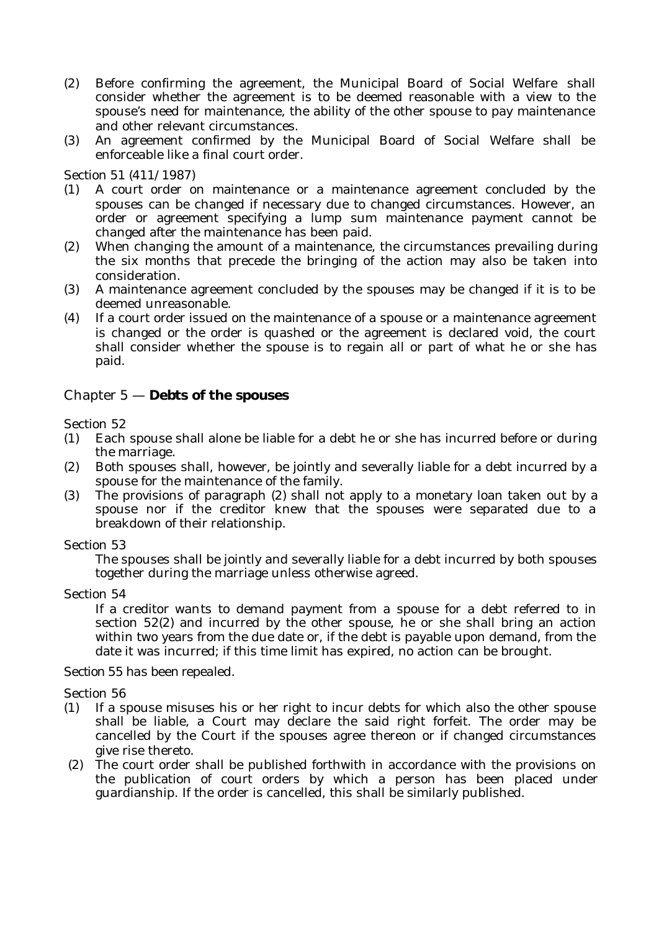- (2) Before confirming the agreement, the Municipal Board of Social Welfare shall consider whether the agreement is to be deemed reasonable with a view to the spouse's need for maintenance, the ability of the other spouse to pay maintenance and other relevant circumstances.
- (3) An agreement confirmed by the Municipal Board of Social Welfare shall be enforceable like a final court order.

Section 51 (411/1987)

- (1) A court order on maintenance or a maintenance agreement concluded by the spouses can be changed if necessary due to changed circumstances. However, an order or agreement specifying a lump sum maintenance payment cannot be changed after the maintenance has been paid.
- (2) When changing the amount of a maintenance, the circumstances prevailing during the six months that precede the bringing of the action may also be taken into consideration.
- (3) A maintenance agreement concluded by the spouses may be changed if it is to be deemed unreasonable.
- (4) If a court order issued on the maintenance of a spouse or a maintenance agreement is changed or the order is quashed or the agreement is declared void, the court shall consider whether the spouse is to regain all or part of what he or she has paid.

#### Chapter 5 — **Debts of the spouses**

Section 52

- (1) Each spouse shall alone be liable for a debt he or she has incurred before or during the marriage.
- (2) Both spouses shall, however, be jointly and severally liable for a debt incurred by a spouse for the maintenance of the family.
- (3) The provisions of paragraph (2) shall not apply to a monetary loan taken out by a spouse nor if the creditor knew that the spouses were separated due to a breakdown of their relationship.

Section 53

The spouses shall be jointly and severally liable for a debt incurred by both spouses together during the marriage unless otherwise agreed.

Section 54

If a creditor wants to demand payment from a spouse for a debt referred to in section 52(2) and incurred by the other spouse, he or she shall bring an action within two years from the due date or, if the debt is payable upon demand, from the date it was incurred; if this time limit has expired, no action can be brought.

#### *Section 55 has been repealed.*

Section 56

- (1) If a spouse misuses his or her right to incur debts for which also the other spouse shall be liable, a Court may declare the said right forfeit. The order may be cancelled by the Court if the spouses agree thereon or if changed circumstances give rise thereto.
- (2) The court order shall be published forthwith in accordance with the provisions on the publication of court orders by which a person has been placed under guardianship. If the order is cancelled, this shall be similarly published.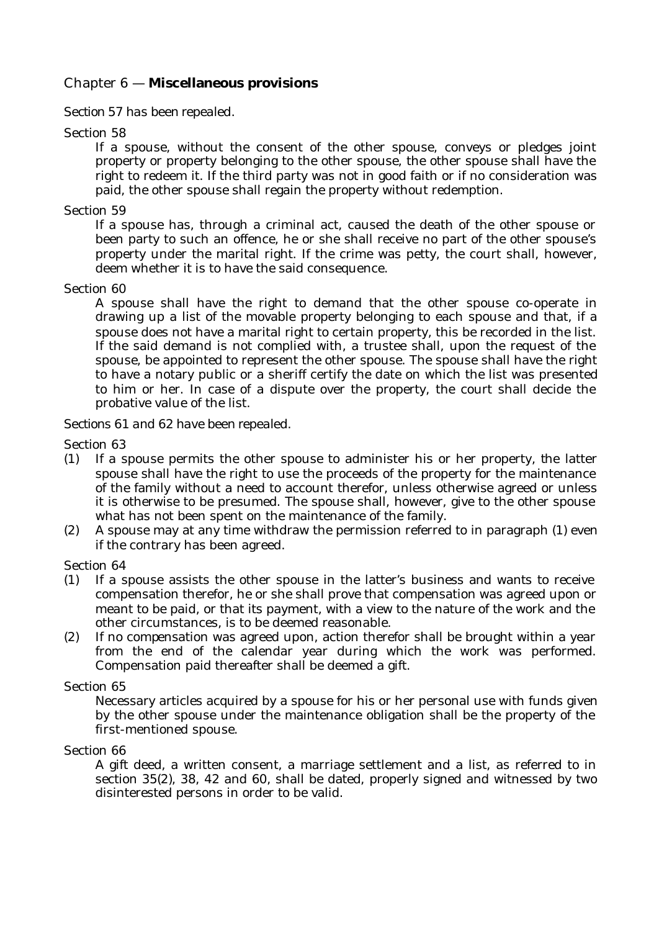## Chapter 6 — **Miscellaneous provisions**

#### *Section 57 has been repealed.*

#### Section 58

If a spouse, without the consent of the other spouse, conveys or pledges joint property or property belonging to the other spouse, the other spouse shall have the right to redeem it. If the third party was not in good faith or if no consideration was paid, the other spouse shall regain the property without redemption.

#### Section 59

If a spouse has, through a criminal act, caused the death of the other spouse or been party to such an offence, he or she shall receive no part of the other spouse's property under the marital right. If the crime was petty, the court shall, however, deem whether it is to have the said consequence.

#### Section 60

A spouse shall have the right to demand that the other spouse co-operate in drawing up a list of the movable property belonging to each spouse and that, if a spouse does not have a marital right to certain property, this be recorded in the list. If the said demand is not complied with, a trustee shall, upon the request of the spouse, be appointed to represent the other spouse. The spouse shall have the right to have a notary public or a sheriff certify the date on which the list was presented to him or her. In case of a dispute over the property, the court shall decide the probative value of the list.

#### *Sections 61 and 62 have been repealed.*

Section 63

- (1) If a spouse permits the other spouse to administer his or her property, the latter spouse shall have the right to use the proceeds of the property for the maintenance of the family without a need to account therefor, unless otherwise agreed or unless it is otherwise to be presumed. The spouse shall, however, give to the other spouse what has not been spent on the maintenance of the family.
- (2) A spouse may at any time withdraw the permission referred to in paragraph (1) even if the contrary has been agreed.

Section 64

- (1) If a spouse assists the other spouse in the latter's business and wants to receive compensation therefor, he or she shall prove that compensation was agreed upon or meant to be paid, or that its payment, with a view to the nature of the work and the other circumstances, is to be deemed reasonable.
- (2) If no compensation was agreed upon, action therefor shall be brought within a year from the end of the calendar year during which the work was performed. Compensation paid thereafter shall be deemed a gift.

#### Section 65

Necessary articles acquired by a spouse for his or her personal use with funds given by the other spouse under the maintenance obligation shall be the property of the first-mentioned spouse.

Section 66

A gift deed, a written consent, a marriage settlement and a list, as referred to in section 35(2), 38, 42 and 60, shall be dated, properly signed and witnessed by two disinterested persons in order to be valid.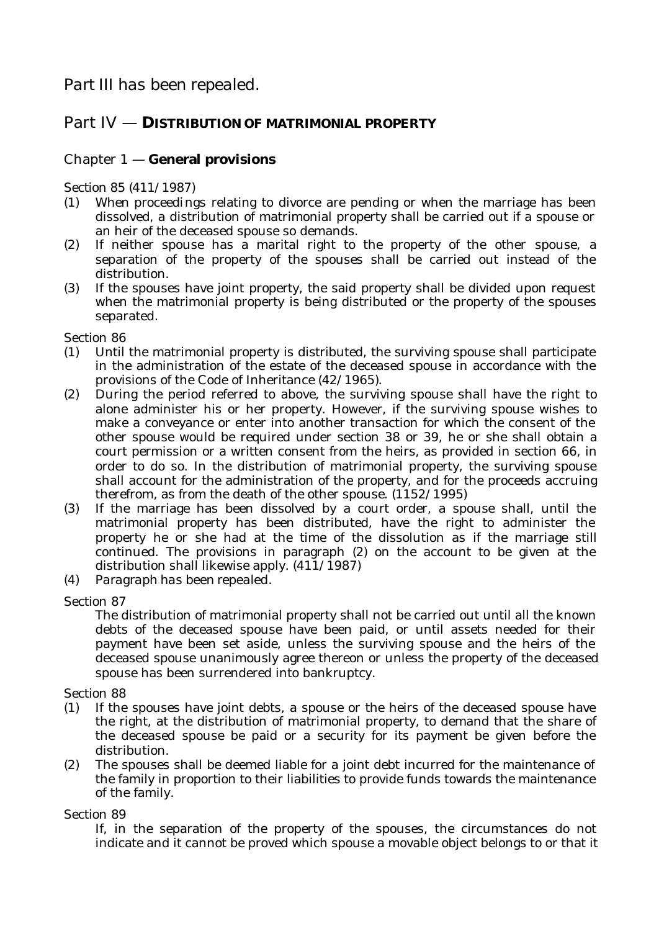# Part IV — **DISTRIBUTION OF MATRIMONIAL PROPERTY**

# Chapter 1 — **General provisions**

Section 85 (411/1987)

- (1) When proceedings relating to divorce are pending or when the marriage has been dissolved, a distribution of matrimonial property shall be carried out if a spouse or an heir of the deceased spouse so demands.
- (2) If neither spouse has a marital right to the property of the other spouse, a separation of the property of the spouses shall be carried out instead of the distribution.
- (3) If the spouses have joint property, the said property shall be divided upon request when the matrimonial property is being distributed or the property of the spouses separated.

Section 86

- (1) Until the matrimonial property is distributed, the surviving spouse shall participate in the administration of the estate of the deceased spouse in accordance with the provisions of the Code of Inheritance (42/1965).
- (2) During the period referred to above, the surviving spouse shall have the right to alone administer his or her property. However, if the surviving spouse wishes to make a conveyance or enter into another transaction for which the consent of the other spouse would be required under section 38 or 39, he or she shall obtain a court permission or a written consent from the heirs, as provided in section 66, in order to do so. In the distribution of matrimonial property, the surviving spouse shall account for the administration of the property, and for the proceeds accruing therefrom, as from the death of the other spouse. (1152/1995)
- (3) If the marriage has been dissolved by a court order, a spouse shall, until the matrimonial property has been distributed, have the right to administer the property he or she had at the time of the dissolution as if the marriage still continued. The provisions in paragraph (2) on the account to be given at the distribution shall likewise apply. (411/1987)
- (4) *Paragraph has been repealed.*

Section 87

The distribution of matrimonial property shall not be carried out until all the known debts of the deceased spouse have been paid, or until assets needed for their payment have been set aside, unless the surviving spouse and the heirs of the deceased spouse unanimously agree thereon or unless the property of the deceased spouse has been surrendered into bankruptcy.

Section 88

- (1) If the spouses have joint debts, a spouse or the heirs of the deceased spouse have the right, at the distribution of matrimonial property, to demand that the share of the deceased spouse be paid or a security for its payment be given before the distribution.
- (2) The spouses shall be deemed liable for a joint debt incurred for the maintenance of the family in proportion to their liabilities to provide funds towards the maintenance of the family.

Section 89

If, in the separation of the property of the spouses, the circumstances do not indicate and it cannot be proved which spouse a movable object belongs to or that it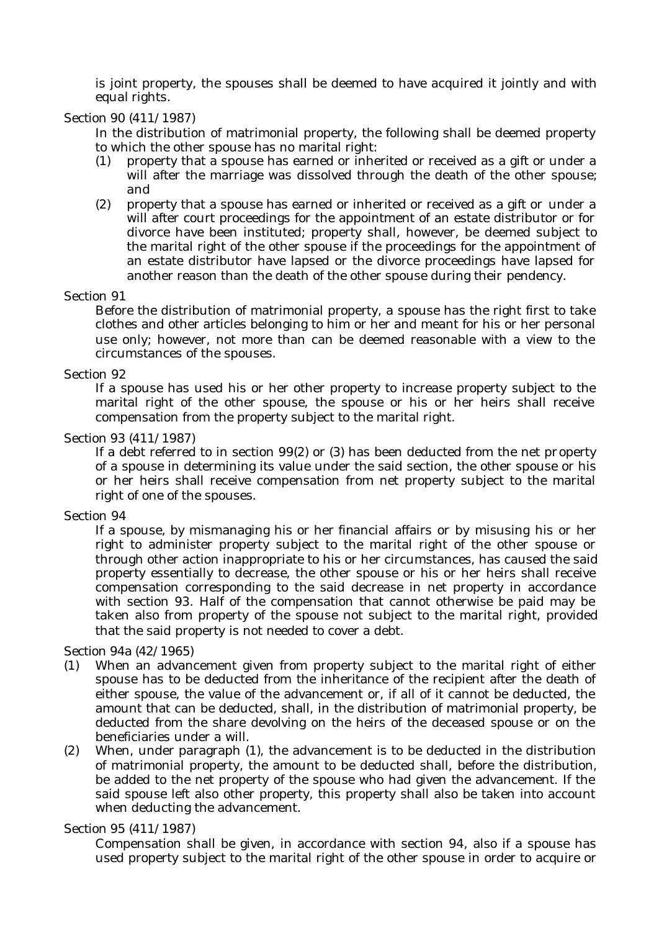is joint property, the spouses shall be deemed to have acquired it jointly and with equal rights.

#### Section 90 (411/1987)

In the distribution of matrimonial property, the following shall be deemed property to which the other spouse has no marital right:

- (1) property that a spouse has earned or inherited or received as a gift or under a will after the marriage was dissolved through the death of the other spouse; and
- (2) property that a spouse has earned or inherited or received as a gift or under a will after court proceedings for the appointment of an estate distributor or for divorce have been instituted; property shall, however, be deemed subject to the marital right of the other spouse if the proceedings for the appointment of an estate distributor have lapsed or the divorce proceedings have lapsed for another reason than the death of the other spouse during their pendency.

#### Section 91

Before the distribution of matrimonial property, a spouse has the right first to take clothes and other articles belonging to him or her and meant for his or her personal use only; however, not more than can be deemed reasonable with a view to the circumstances of the spouses.

#### Section 92

If a spouse has used his or her other property to increase property subject to the marital right of the other spouse, the spouse or his or her heirs shall receive compensation from the property subject to the marital right.

#### Section 93 (411/1987)

If a debt referred to in section 99(2) or (3) has been deducted from the net property of a spouse in determining its value under the said section, the other spouse or his or her heirs shall receive compensation from net property subject to the marital right of one of the spouses.

#### Section 94

If a spouse, by mismanaging his or her financial affairs or by misusing his or her right to administer property subject to the marital right of the other spouse or through other action inappropriate to his or her circumstances, has caused the said property essentially to decrease, the other spouse or his or her heirs shall receive compensation corresponding to the said decrease in net property in accordance with section 93. Half of the compensation that cannot otherwise be paid may be taken also from property of the spouse not subject to the marital right, provided that the said property is not needed to cover a debt.

#### Section 94a (42/1965)

- (1) When an advancement given from property subject to the marital right of either spouse has to be deducted from the inheritance of the recipient after the death of either spouse, the value of the advancement or, if all of it cannot be deducted, the amount that can be deducted, shall, in the distribution of matrimonial property, be deducted from the share devolving on the heirs of the deceased spouse or on the beneficiaries under a will.
- (2) When, under paragraph (1), the advancement is to be deducted in the distribution of matrimonial property, the amount to be deducted shall, before the distribution, be added to the net property of the spouse who had given the advancement. If the said spouse left also other property, this property shall also be taken into account when deducting the advancement.

#### Section 95 (411/1987)

Compensation shall be given, in accordance with section 94, also if a spouse has used property subject to the marital right of the other spouse in order to acquire or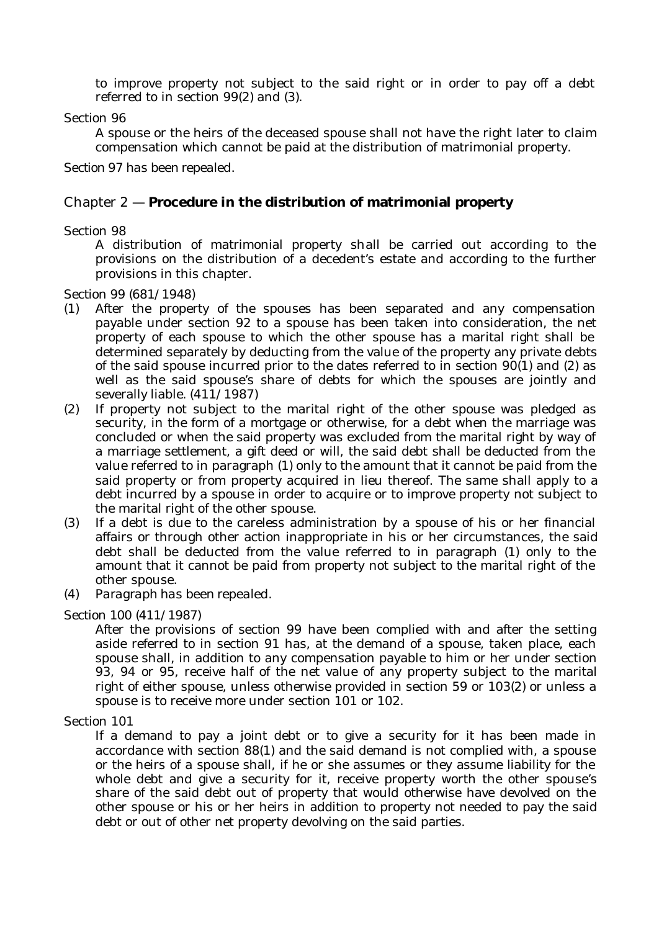to improve property not subject to the said right or in order to pay off a debt referred to in section 99(2) and (3).

#### Section 96

A spouse or the heirs of the deceased spouse shall not have the right later to claim compensation which cannot be paid at the distribution of matrimonial property.

#### *Section 97 has been repealed.*

## Chapter 2 — **Procedure in the distribution of matrimonial property**

#### Section 98

A distribution of matrimonial property shall be carried out according to the provisions on the distribution of a decedent's estate and according to the further provisions in this chapter.

Section 99 (681/1948)

- (1) After the property of the spouses has been separated and any compensation payable under section 92 to a spouse has been taken into consideration, the net property of each spouse to which the other spouse has a marital right shall be determined separately by deducting from the value of the property any private debts of the said spouse incurred prior to the dates referred to in section 90(1) and (2) as well as the said spouse's share of debts for which the spouses are jointly and severally liable. (411/1987)
- (2) If property not subject to the marital right of the other spouse was pledged as security, in the form of a mortgage or otherwise, for a debt when the marriage was concluded or when the said property was excluded from the marital right by way of a marriage settlement, a gift deed or will, the said debt shall be deducted from the value referred to in paragraph (1) only to the amount that it cannot be paid from the said property or from property acquired in lieu thereof. The same shall apply to a debt incurred by a spouse in order to acquire or to improve property not subject to the marital right of the other spouse.
- (3) If a debt is due to the careless administration by a spouse of his or her financial affairs or through other action inappropriate in his or her circumstances, the said debt shall be deducted from the value referred to in paragraph (1) only to the amount that it cannot be paid from property not subject to the marital right of the other spouse.
- (4) *Paragraph has been repealed.*

#### Section 100 (411/1987)

After the provisions of section 99 have been complied with and after the setting aside referred to in section 91 has, at the demand of a spouse, taken place, each spouse shall, in addition to any compensation payable to him or her under section 93, 94 or 95, receive half of the net value of any property subject to the marital right of either spouse, unless otherwise provided in section 59 or 103(2) or unless a spouse is to receive more under section 101 or 102.

#### Section 101

If a demand to pay a joint debt or to give a security for it has been made in accordance with section 88(1) and the said demand is not complied with, a spouse or the heirs of a spouse shall, if he or she assumes or they assume liability for the whole debt and give a security for it, receive property worth the other spouse's share of the said debt out of property that would otherwise have devolved on the other spouse or his or her heirs in addition to property not needed to pay the said debt or out of other net property devolving on the said parties.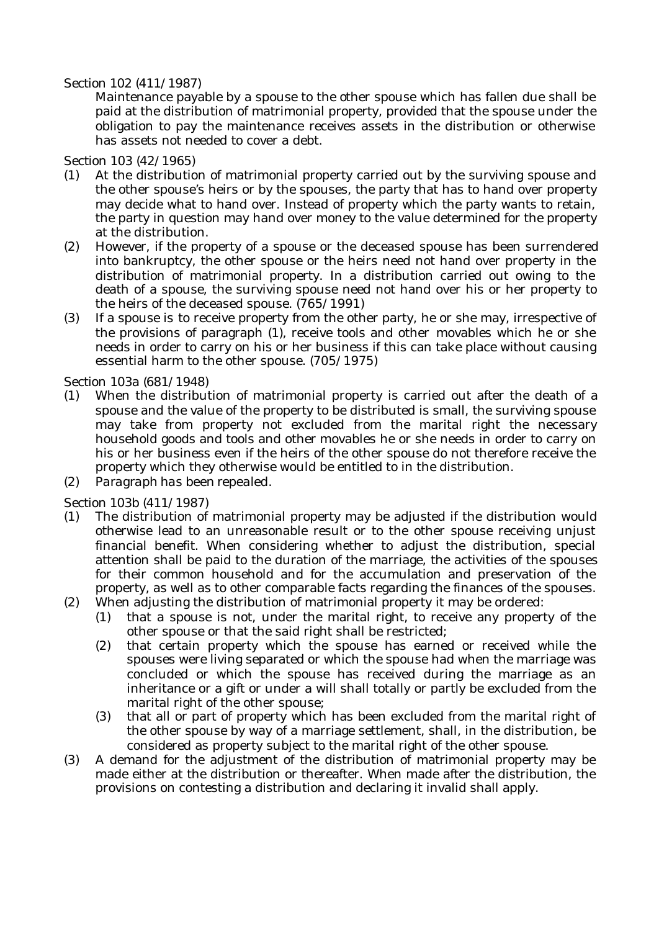#### Section 102 (411/1987)

Maintenance payable by a spouse to the other spouse which has fallen due shall be paid at the distribution of matrimonial property, provided that the spouse under the obligation to pay the maintenance receives assets in the distribution or otherwise has assets not needed to cover a debt.

Section 103 (42/1965)

- (1) At the distribution of matrimonial property carried out by the surviving spouse and the other spouse's heirs or by the spouses, the party that has to hand over property may decide what to hand over. Instead of property which the party wants to retain, the party in question may hand over money to the value determined for the property at the distribution.
- (2) However, if the property of a spouse or the deceased spouse has been surrendered into bankruptcy, the other spouse or the heirs need not hand over property in the distribution of matrimonial property. In a distribution carried out owing to the death of a spouse, the surviving spouse need not hand over his or her property to the heirs of the deceased spouse. (765/1991)
- (3) If a spouse is to receive property from the other party, he or she may, irrespective of the provisions of paragraph (1), receive tools and other movables which he or she needs in order to carry on his or her business if this can take place without causing essential harm to the other spouse. (705/1975)

Section 103a (681/1948)

- (1) When the distribution of matrimonial property is carried out after the death of a spouse and the value of the property to be distributed is small, the surviving spouse may take from property not excluded from the marital right the necessary household goods and tools and other movables he or she needs in order to carry on his or her business even if the heirs of the other spouse do not therefore receive the property which they otherwise would be entitled to in the distribution.
- (2) *Paragraph has been repealed.*

Section 103b (411/1987)

- (1) The distribution of matrimonial property may be adjusted if the distribution would otherwise lead to an unreasonable result or to the other spouse receiving unjust financial benefit. When considering whether to adjust the distribution, special attention shall be paid to the duration of the marriage, the activities of the spouses for their common household and for the accumulation and preservation of the property, as well as to other comparable facts regarding the finances of the spouses.
- (2) When adjusting the distribution of matrimonial property it may be ordered:
	- (1) that a spouse is not, under the marital right, to receive any property of the other spouse or that the said right shall be restricted;
	- (2) that certain property which the spouse has earned or received while the spouses were living separated or which the spouse had when the marriage was concluded or which the spouse has received during the marriage as an inheritance or a gift or under a will shall totally or partly be excluded from the marital right of the other spouse;
	- (3) that all or part of property which has been excluded from the marital right of the other spouse by way of a marriage settlement, shall, in the distribution, be considered as property subject to the marital right of the other spouse.
- (3) A demand for the adjustment of the distribution of matrimonial property may be made either at the distribution or thereafter. When made after the distribution, the provisions on contesting a distribution and declaring it invalid shall apply.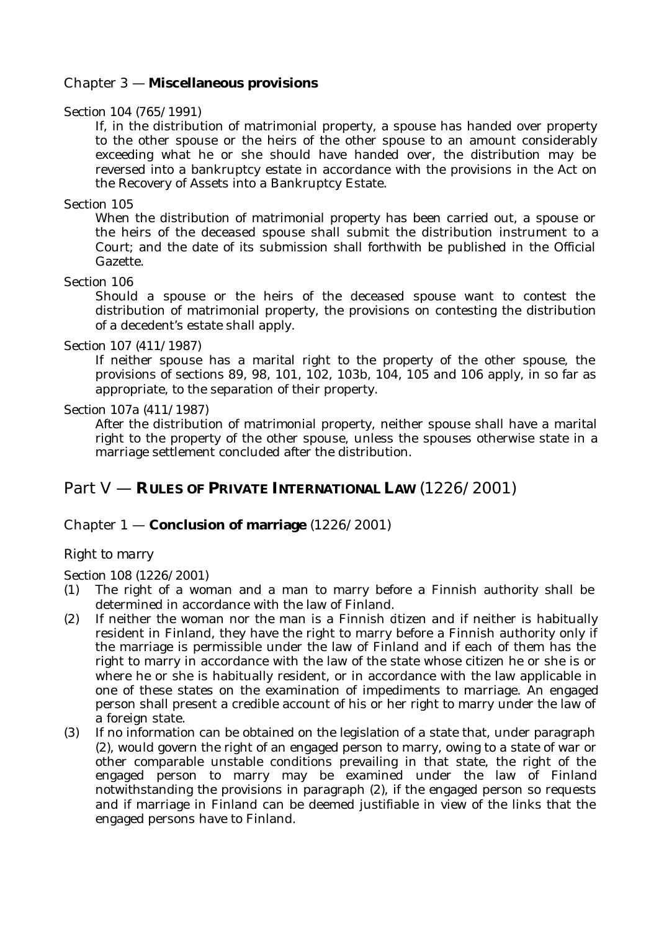## Chapter 3 — **Miscellaneous provisions**

#### Section 104 (765/1991)

If, in the distribution of matrimonial property, a spouse has handed over property to the other spouse or the heirs of the other spouse to an amount considerably exceeding what he or she should have handed over, the distribution may be reversed into a bankruptcy estate in accordance with the provisions in the Act on the Recovery of Assets into a Bankruptcy Estate.

#### Section 105

When the distribution of matrimonial property has been carried out, a spouse or the heirs of the deceased spouse shall submit the distribution instrument to a Court; and the date of its submission shall forthwith be published in the Official Gazette.

#### Section 106

Should a spouse or the heirs of the deceased spouse want to contest the distribution of matrimonial property, the provisions on contesting the distribution of a decedent's estate shall apply.

#### Section 107 (411/1987)

If neither spouse has a marital right to the property of the other spouse, the provisions of sections 89, 98, 101, 102, 103b, 104, 105 and 106 apply, in so far as appropriate, to the separation of their property.

#### Section 107a (411/1987)

After the distribution of matrimonial property, neither spouse shall have a marital right to the property of the other spouse, unless the spouses otherwise state in a marriage settlement concluded after the distribution.

# Part V — **RULES OF PRIVATE INTERNATIONAL LAW** (1226/2001)

## Chapter 1 — **Conclusion of marriage** (1226/2001)

#### *Right to marry*

Section 108 (1226/2001)

- (1) The right of a woman and a man to marry before a Finnish authority shall be determined in accordance with the law of Finland.
- (2) If neither the woman nor the man is a Finnish citizen and if neither is habitually resident in Finland, they have the right to marry before a Finnish authority only if the marriage is permissible under the law of Finland and if each of them has the right to marry in accordance with the law of the state whose citizen he or she is or where he or she is habitually resident, or in accordance with the law applicable in one of these states on the examination of impediments to marriage. An engaged person shall present a credible account of his or her right to marry under the law of a foreign state.
- (3) If no information can be obtained on the legislation of a state that, under paragraph (2), would govern the right of an engaged person to marry, owing to a state of war or other comparable unstable conditions prevailing in that state, the right of the engaged person to marry may be examined under the law of Finland notwithstanding the provisions in paragraph (2), if the engaged person so requests and if marriage in Finland can be deemed justifiable in view of the links that the engaged persons have to Finland.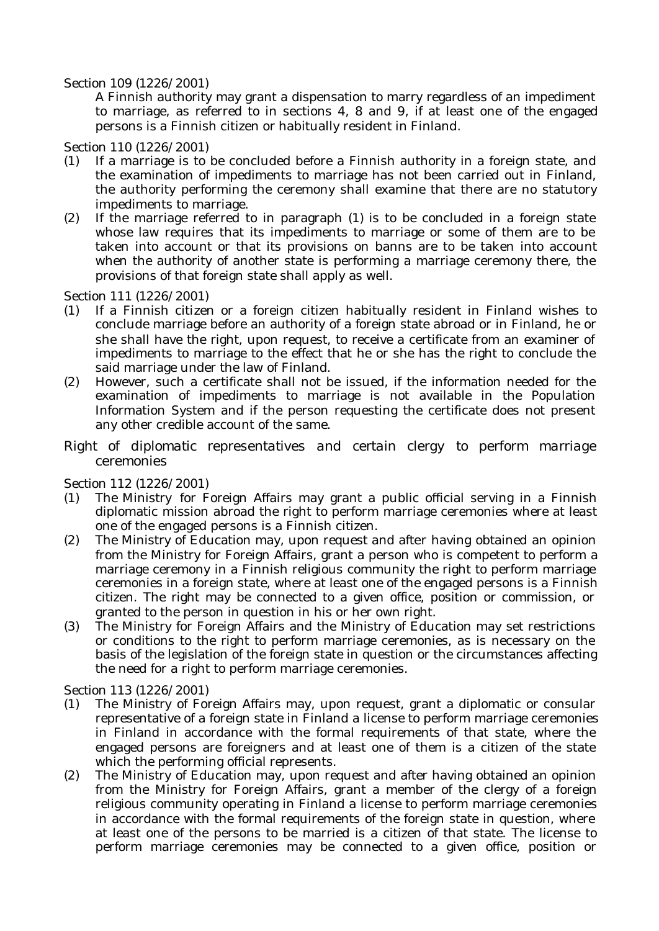#### Section 109 (1226/2001)

A Finnish authority may grant a dispensation to marry regardless of an impediment to marriage, as referred to in sections 4, 8 and 9, if at least one of the engaged persons is a Finnish citizen or habitually resident in Finland.

#### Section 110 (1226/2001)

- (1) If a marriage is to be concluded before a Finnish authority in a foreign state, and the examination of impediments to marriage has not been carried out in Finland, the authority performing the ceremony shall examine that there are no statutory impediments to marriage.
- (2) If the marriage referred to in paragraph (1) is to be concluded in a foreign state whose law requires that its impediments to marriage or some of them are to be taken into account or that its provisions on banns are to be taken into account when the authority of another state is performing a marriage ceremony there, the provisions of that foreign state shall apply as well.

## Section 111 (1226/2001)

- (1) If a Finnish citizen or a foreign citizen habitually resident in Finland wishes to conclude marriage before an authority of a foreign state abroad or in Finland, he or she shall have the right, upon request, to receive a certificate from an examiner of impediments to marriage to the effect that he or she has the right to conclude the said marriage under the law of Finland.
- (2) However, such a certificate shall not be issued, if the information needed for the examination of impediments to marriage is not available in the Population Information System and if the person requesting the certificate does not present any other credible account of the same.
- *Right of diplomatic representatives and certain clergy to perform marriage ceremonies*

## Section 112 (1226/2001)

- (1) The Ministry for Foreign Affairs may grant a public official serving in a Finnish diplomatic mission abroad the right to perform marriage ceremonies where at least one of the engaged persons is a Finnish citizen.
- (2) The Ministry of Education may, upon request and after having obtained an opinion from the Ministry for Foreign Affairs, grant a person who is competent to perform a marriage ceremony in a Finnish religious community the right to perform marriage ceremonies in a foreign state, where at least one of the engaged persons is a Finnish citizen. The right may be connected to a given office, position or commission, or granted to the person in question in his or her own right.
- (3) The Ministry for Foreign Affairs and the Ministry of Education may set restrictions or conditions to the right to perform marriage ceremonies, as is necessary on the basis of the legislation of the foreign state in question or the circumstances affecting the need for a right to perform marriage ceremonies.

#### Section 113 (1226/2001)

- (1) The Ministry of Foreign Affairs may, upon request, grant a diplomatic or consular representative of a foreign state in Finland a license to perform marriage ceremonies in Finland in accordance with the formal requirements of that state, where the engaged persons are foreigners and at least one of them is a citizen of the state which the performing official represents.
- (2) The Ministry of Education may, upon request and after having obtained an opinion from the Ministry for Foreign Affairs, grant a member of the clergy of a foreign religious community operating in Finland a license to perform marriage ceremonies in accordance with the formal requirements of the foreign state in question, where at least one of the persons to be married is a citizen of that state. The license to perform marriage ceremonies may be connected to a given office, position or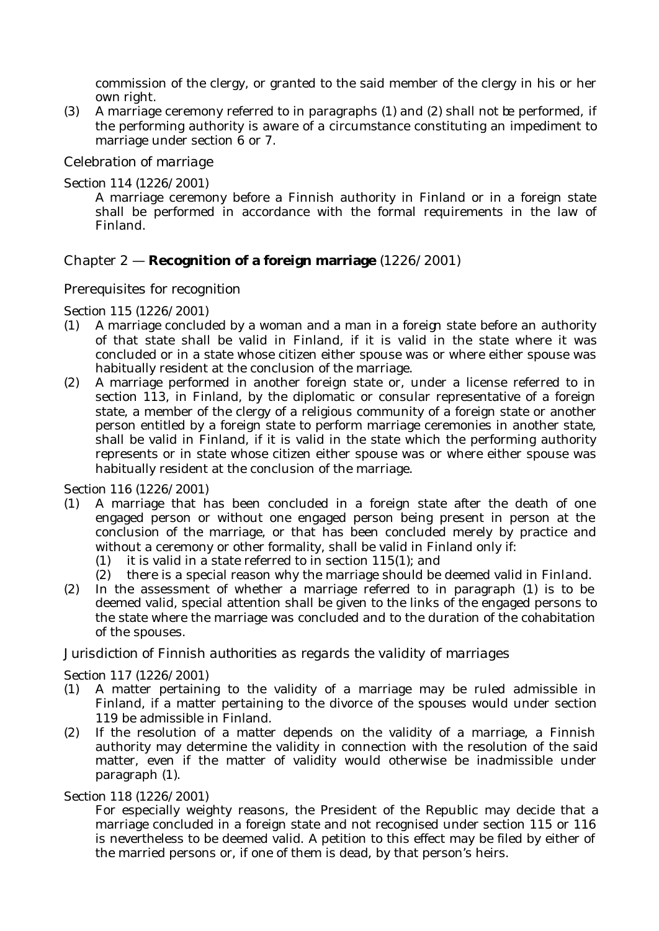commission of the clergy, or granted to the said member of the clergy in his or her own right.

(3) A marriage ceremony referred to in paragraphs (1) and (2) shall not be performed, if the performing authority is aware of a circumstance constituting an impediment to marriage under section 6 or 7.

## *Celebration of marriage*

Section 114 (1226/2001)

A marriage ceremony before a Finnish authority in Finland or in a foreign state shall be performed in accordance with the formal requirements in the law of Finland.

## Chapter 2 — **Recognition of a foreign marriage** (1226/2001)

*Prerequisites for recognition*

Section 115 (1226/2001)

- (1) A marriage concluded by a woman and a man in a foreign state before an authority of that state shall be valid in Finland, if it is valid in the state where it was concluded or in a state whose citizen either spouse was or where either spouse was habitually resident at the conclusion of the marriage.
- (2) A marriage performed in another foreign state or, under a license referred to in section 113, in Finland, by the diplomatic or consular representative of a foreign state, a member of the clergy of a religious community of a foreign state or another person entitled by a foreign state to perform marriage ceremonies in another state, shall be valid in Finland, if it is valid in the state which the performing authority represents or in state whose citizen either spouse was or where either spouse was habitually resident at the conclusion of the marriage.

Section 116 (1226/2001)

- (1) A marriage that has been concluded in a foreign state after the death of one engaged person or without one engaged person being present in person at the conclusion of the marriage, or that has been concluded merely by practice and without a ceremony or other formality, shall be valid in Finland only if:
	- (1) it is valid in a state referred to in section 115(1); and
	- (2) there is a special reason why the marriage should be deemed valid in Finland.
- (2) In the assessment of whether a marriage referred to in paragraph (1) is to be deemed valid, special attention shall be given to the links of the engaged persons to the state where the marriage was concluded and to the duration of the cohabitation of the spouses.

## *Jurisdiction of Finnish authorities as regards the validity of marriages*

Section 117 (1226/2001)

- (1) A matter pertaining to the validity of a marriage may be ruled admissible in Finland, if a matter pertaining to the divorce of the spouses would under section 119 be admissible in Finland.
- (2) If the resolution of a matter depends on the validity of a marriage, a Finnish authority may determine the validity in connection with the resolution of the said matter, even if the matter of validity would otherwise be inadmissible under paragraph (1).

Section 118 (1226/2001)

For especially weighty reasons, the President of the Republic may decide that a marriage concluded in a foreign state and not recognised under section 115 or 116 is nevertheless to be deemed valid. A petition to this effect may be filed by either of the married persons or, if one of them is dead, by that person's heirs.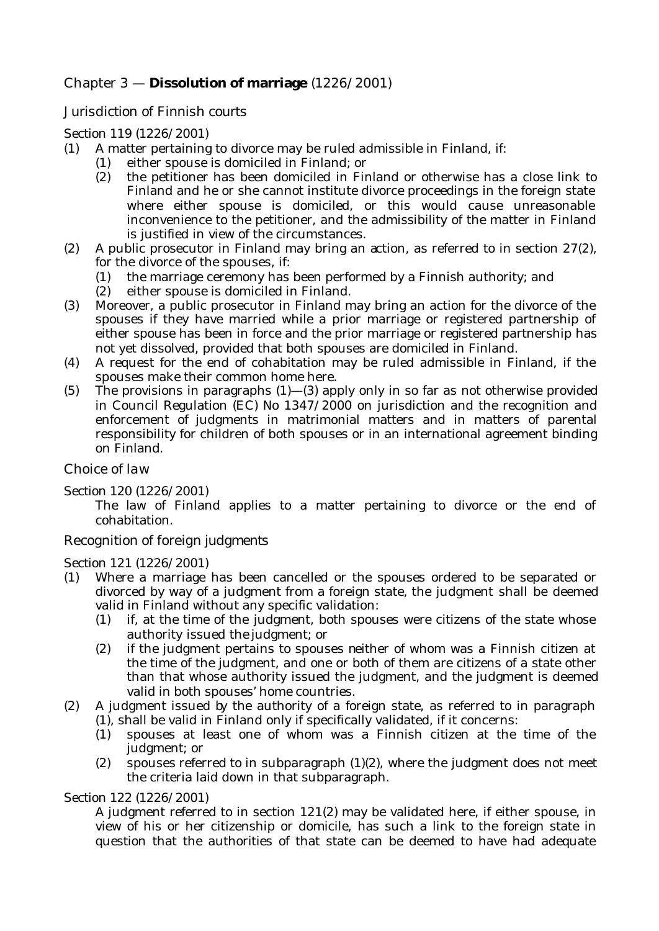# Chapter 3 — **Dissolution of marriage** (1226/2001)

## *Jurisdiction of Finnish courts*

## Section 119 (1226/2001)

- (1) A matter pertaining to divorce may be ruled admissible in Finland, if:
	- (1) either spouse is domiciled in Finland; or
		- (2) the petitioner has been domiciled in Finland or otherwise has a close link to Finland and he or she cannot institute divorce proceedings in the foreign state where either spouse is domiciled, or this would cause unreasonable inconvenience to the petitioner, and the admissibility of the matter in Finland is justified in view of the circumstances.
- (2) A public prosecutor in Finland may bring an action, as referred to in section 27(2), for the divorce of the spouses, if:
	- (1) the marriage ceremony has been performed by a Finnish authority; and
	- (2) either spouse is domiciled in Finland.
- (3) Moreover, a public prosecutor in Finland may bring an action for the divorce of the spouses if they have married while a prior marriage or registered partnership of either spouse has been in force and the prior marriage or registered partnership has not yet dissolved, provided that both spouses are domiciled in Finland.
- (4) A request for the end of cohabitation may be ruled admissible in Finland, if the spouses make their common home here.
- (5) The provisions in paragraphs  $(1)$ — $(3)$  apply only in so far as not otherwise provided in Council Regulation (EC) No 1347/2000 on jurisdiction and the recognition and enforcement of judgments in matrimonial matters and in matters of parental responsibility for children of both spouses or in an international agreement binding on Finland.

#### *Choice of law*

#### Section 120 (1226/2001)

The law of Finland applies to a matter pertaining to divorce or the end of cohabitation.

#### *Recognition of foreign judgments*

#### Section 121 (1226/2001)

- (1) Where a marriage has been cancelled or the spouses ordered to be separated or divorced by way of a judgment from a foreign state, the judgment shall be deemed valid in Finland without any specific validation:
	- (1) if, at the time of the judgment, both spouses were citizens of the state whose authority issued the judgment; or
	- (2) if the judgment pertains to spouses neither of whom was a Finnish citizen at the time of the judgment, and one or both of them are citizens of a state other than that whose authority issued the judgment, and the judgment is deemed valid in both spouses' home countries.
- (2) A judgment issued by the authority of a foreign state, as referred to in paragraph (1), shall be valid in Finland only if specifically validated, if it concerns:
	- (1) spouses at least one of whom was a Finnish citizen at the time of the judgment; or
	- (2) spouses referred to in subparagraph (1)(2), where the judgment does not meet the criteria laid down in that subparagraph.

#### Section 122 (1226/2001)

A judgment referred to in section 121(2) may be validated here, if either spouse, in view of his or her citizenship or domicile, has such a link to the foreign state in question that the authorities of that state can be deemed to have had adequate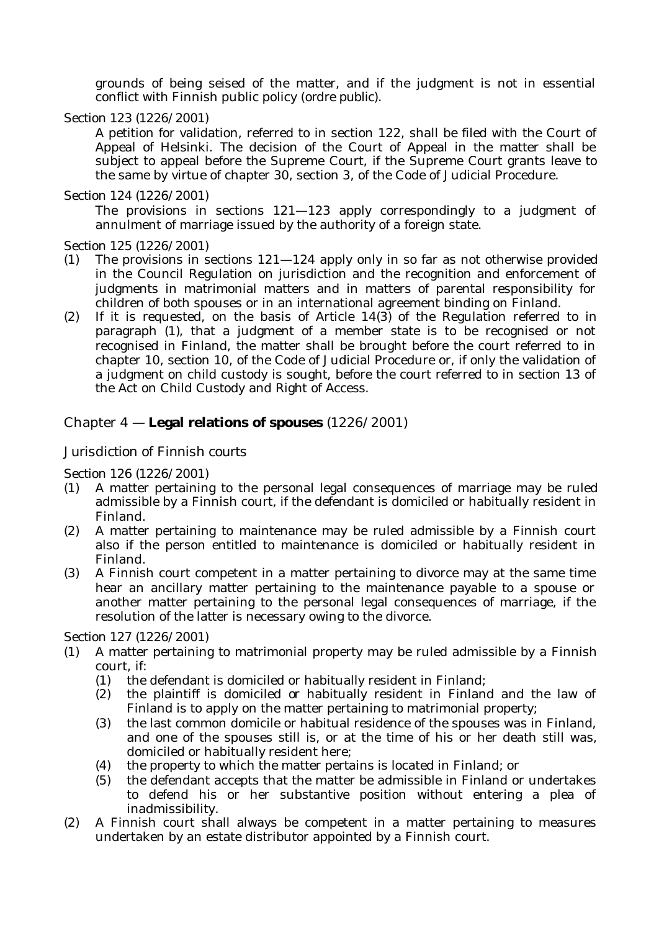grounds of being seised of the matter, and if the judgment is not in essential conflict with Finnish public policy (*ordre public*).

#### Section 123 (1226/2001)

A petition for validation, referred to in section 122, shall be filed with the Court of Appeal of Helsinki. The decision of the Court of Appeal in the matter shall be subject to appeal before the Supreme Court, if the Supreme Court grants leave to the same by virtue of chapter 30, section 3, of the Code of Judicial Procedure.

#### Section 124 (1226/2001)

The provisions in sections 121—123 apply correspondingly to a judgment of annulment of marriage issued by the authority of a foreign state.

Section 125 (1226/2001)

- (1) The provisions in sections 121—124 apply only in so far as not otherwise provided in the Council Regulation on jurisdiction and the recognition and enforcement of judgments in matrimonial matters and in matters of parental responsibility for children of both spouses or in an international agreement binding on Finland.
- (2) If it is requested, on the basis of Article 14(3) of the Regulation referred to in paragraph (1), that a judgment of a member state is to be recognised or not recognised in Finland, the matter shall be brought before the court referred to in chapter 10, section 10, of the Code of Judicial Procedure or, if only the validation of a judgment on child custody is sought, before the court referred to in section 13 of the Act on Child Custody and Right of Access.

# Chapter 4 — **Legal relations of spouses** (1226/2001)

## *Jurisdiction of Finnish courts*

Section 126 (1226/2001)

- (1) A matter pertaining to the personal legal consequences of marriage may be ruled admissible by a Finnish court, if the defendant is domiciled or habitually resident in Finland.
- (2) A matter pertaining to maintenance may be ruled admissible by a Finnish court also if the person entitled to maintenance is domiciled or habitually resident in Finland.
- (3) A Finnish court competent in a matter pertaining to divorce may at the same time hear an ancillary matter pertaining to the maintenance payable to a spouse or another matter pertaining to the personal legal consequences of marriage, if the resolution of the latter is necessary owing to the divorce.

Section 127 (1226/2001)

- (1) A matter pertaining to matrimonial property may be ruled admissible by a Finnish court, if:
	- (1) the defendant is domiciled or habitually resident in Finland;
	- (2) the plaintiff is domiciled or habitually resident in Finland and the law of Finland is to apply on the matter pertaining to matrimonial property;
	- (3) the last common domicile or habitual residence of the spouses was in Finland, and one of the spouses still is, or at the time of his or her death still was, domiciled or habitually resident here;
	- (4) the property to which the matter pertains is located in Finland; or
	- (5) the defendant accepts that the matter be admissible in Finland or undertakes to defend his or her substantive position without entering a plea of inadmissibility.
- (2) A Finnish court shall always be competent in a matter pertaining to measures undertaken by an estate distributor appointed by a Finnish court.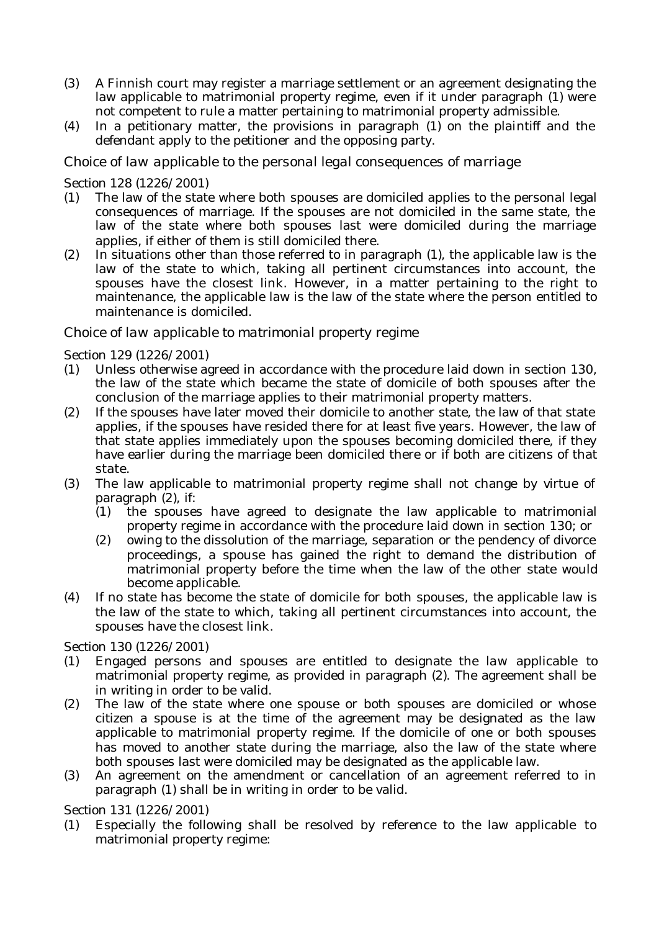- (3) A Finnish court may register a marriage settlement or an agreement designating the law applicable to matrimonial property regime, even if it under paragraph (1) were not competent to rule a matter pertaining to matrimonial property admissible.
- (4) In a petitionary matter, the provisions in paragraph (1) on the plaintiff and the defendant apply to the petitioner and the opposing party.

*Choice of law applicable to the personal legal consequences of marriage*

## Section 128 (1226/2001)

- (1) The law of the state where both spouses are domiciled applies to the personal legal consequences of marriage. If the spouses are not domiciled in the same state, the law of the state where both spouses last were domiciled during the marriage applies, if either of them is still domiciled there.
- (2) In situations other than those referred to in paragraph (1), the applicable law is the law of the state to which, taking all pertinent circumstances into account, the spouses have the closest link. However, in a matter pertaining to the right to maintenance, the applicable law is the law of the state where the person entitled to maintenance is domiciled.

## *Choice of law applicable to matrimonial property regime*

## Section 129 (1226/2001)

- (1) Unless otherwise agreed in accordance with the procedure laid down in section 130, the law of the state which became the state of domicile of both spouses after the conclusion of the marriage applies to their matrimonial property matters.
- (2) If the spouses have later moved their domicile to another state, the law of that state applies, if the spouses have resided there for at least five years. However, the law of that state applies immediately upon the spouses becoming domiciled there, if they have earlier during the marriage been domiciled there or if both are citizens of that state.
- (3) The law applicable to matrimonial property regime shall not change by virtue of paragraph (2), if:
	- (1) the spouses have agreed to designate the law applicable to matrimonial property regime in accordance with the procedure laid down in section 130; or
	- (2) owing to the dissolution of the marriage, separation or the pendency of divorce proceedings, a spouse has gained the right to demand the distribution of matrimonial property before the time when the law of the other state would become applicable.
- (4) If no state has become the state of domicile for both spouses, the applicable law is the law of the state to which, taking all pertinent circumstances into account, the spouses have the closest link.

Section 130 (1226/2001)

- (1) Engaged persons and spouses are entitled to designate the law applicable to matrimonial property regime, as provided in paragraph (2). The agreement shall be in writing in order to be valid.
- (2) The law of the state where one spouse or both spouses are domiciled or whose citizen a spouse is at the time of the agreement may be designated as the law applicable to matrimonial property regime. If the domicile of one or both spouses has moved to another state during the marriage, also the law of the state where both spouses last were domiciled may be designated as the applicable law.
- (3) An agreement on the amendment or cancellation of an agreement referred to in paragraph (1) shall be in writing in order to be valid.

Section 131 (1226/2001)

(1) Especially the following shall be resolved by reference to the law applicable to matrimonial property regime: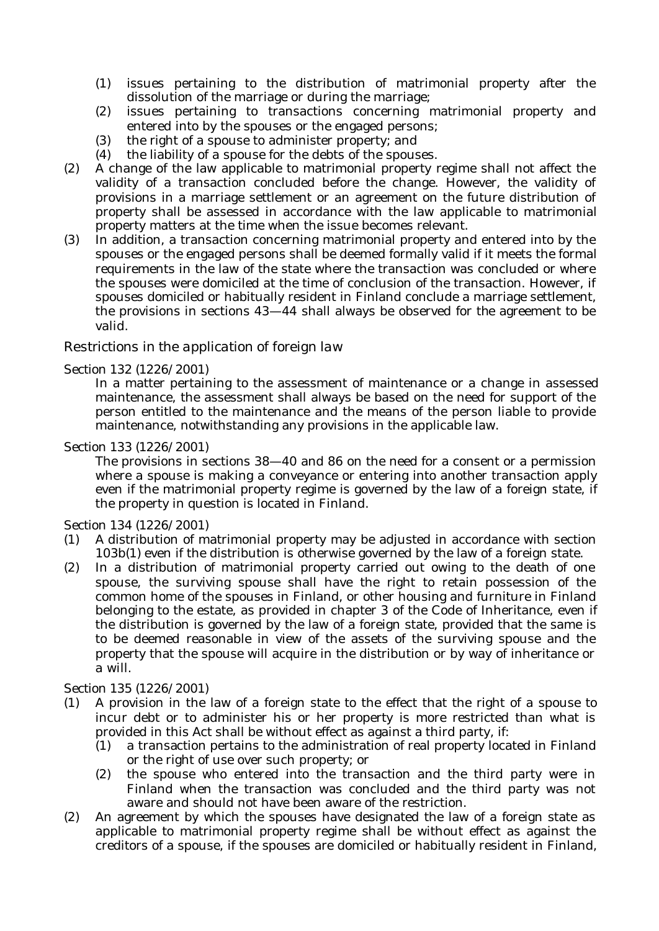- (1) issues pertaining to the distribution of matrimonial property after the dissolution of the marriage or during the marriage;
- (2) issues pertaining to transactions concerning matrimonial property and entered into by the spouses or the engaged persons;
- (3) the right of a spouse to administer property; and
- (4) the liability of a spouse for the debts of the spouses.
- (2) A change of the law applicable to matrimonial property regime shall not affect the validity of a transaction concluded before the change. However, the validity of provisions in a marriage settlement or an agreement on the future distribution of property shall be assessed in accordance with the law applicable to matrimonial property matters at the time when the issue becomes relevant.
- (3) In addition, a transaction concerning matrimonial property and entered into by the spouses or the engaged persons shall be deemed formally valid if it meets the formal requirements in the law of the state where the transaction was concluded or where the spouses were domiciled at the time of conclusion of the transaction. However, if spouses domiciled or habitually resident in Finland conclude a marriage settlement, the provisions in sections 43—44 shall always be observed for the agreement to be valid.

## *Restrictions in the application of foreign law*

#### Section 132 (1226/2001)

In a matter pertaining to the assessment of maintenance or a change in assessed maintenance, the assessment shall always be based on the need for support of the person entitled to the maintenance and the means of the person liable to provide maintenance, notwithstanding any provisions in the applicable law.

#### Section 133 (1226/2001)

The provisions in sections 38—40 and 86 on the need for a consent or a permission where a spouse is making a conveyance or entering into another transaction apply even if the matrimonial property regime is governed by the law of a foreign state, if the property in question is located in Finland.

#### Section 134 (1226/2001)

- (1) A distribution of matrimonial property may be adjusted in accordance with section 103b(1) even if the distribution is otherwise governed by the law of a foreign state.
- (2) In a distribution of matrimonial property carried out owing to the death of one spouse, the surviving spouse shall have the right to retain possession of the common home of the spouses in Finland, or other housing and furniture in Finland belonging to the estate, as provided in chapter 3 of the Code of Inheritance, even if the distribution is governed by the law of a foreign state, provided that the same is to be deemed reasonable in view of the assets of the surviving spouse and the property that the spouse will acquire in the distribution or by way of inheritance or a will.

#### Section 135 (1226/2001)

- (1) A provision in the law of a foreign state to the effect that the right of a spouse to incur debt or to administer his or her property is more restricted than what is provided in this Act shall be without effect as against a third party, if:
	- (1) a transaction pertains to the administration of real property located in Finland or the right of use over such property; or
	- (2) the spouse who entered into the transaction and the third party were in Finland when the transaction was concluded and the third party was not aware and should not have been aware of the restriction.
- (2) An agreement by which the spouses have designated the law of a foreign state as applicable to matrimonial property regime shall be without effect as against the creditors of a spouse, if the spouses are domiciled or habitually resident in Finland,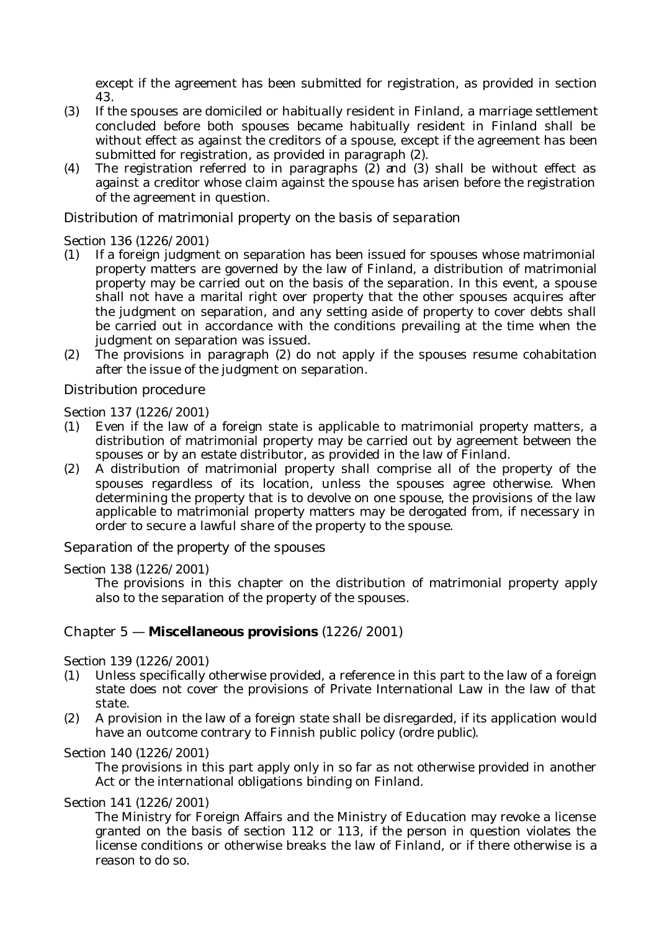except if the agreement has been submitted for registration, as provided in section 43.

- (3) If the spouses are domiciled or habitually resident in Finland, a marriage settlement concluded before both spouses became habitually resident in Finland shall be without effect as against the creditors of a spouse, except if the agreement has been submitted for registration, as provided in paragraph (2).
- (4) The registration referred to in paragraphs (2) and (3) shall be without effect as against a creditor whose claim against the spouse has arisen before the registration of the agreement in question.

## *Distribution of matrimonial property on the basis of separation*

#### Section 136 (1226/2001)

- (1) If a foreign judgment on separation has been issued for spouses whose matrimonial property matters are governed by the law of Finland, a distribution of matrimonial property may be carried out on the basis of the separation. In this event, a spouse shall not have a marital right over property that the other spouses acquires after the judgment on separation, and any setting aside of property to cover debts shall be carried out in accordance with the conditions prevailing at the time when the judgment on separation was issued.
- (2) The provisions in paragraph (2) do not apply if the spouses resume cohabitation after the issue of the judgment on separation.

## *Distribution procedure*

Section 137 (1226/2001)

- (1) Even if the law of a foreign state is applicable to matrimonial property matters, a distribution of matrimonial property may be carried out by agreement between the spouses or by an estate distributor, as provided in the law of Finland.
- (2) A distribution of matrimonial property shall comprise all of the property of the spouses regardless of its location, unless the spouses agree otherwise. When determining the property that is to devolve on one spouse, the provisions of the law applicable to matrimonial property matters may be derogated from, if necessary in order to secure a lawful share of the property to the spouse.

## *Separation of the property of the spouses*

#### Section 138 (1226/2001)

The provisions in this chapter on the distribution of matrimonial property apply also to the separation of the property of the spouses.

## Chapter 5 — **Miscellaneous provisions** (1226/2001)

Section 139 (1226/2001)

- (1) Unless specifically otherwise provided, a reference in this part to the law of a foreign state does not cover the provisions of Private International Law in the law of that state.
- (2) A provision in the law of a foreign state shall be disregarded, if its application would have an outcome contrary to Finnish public policy (*ordre public*).

#### Section 140 (1226/2001)

The provisions in this part apply only in so far as not otherwise provided in another Act or the international obligations binding on Finland.

#### Section 141 (1226/2001)

The Ministry for Foreign Affairs and the Ministry of Education may revoke a license granted on the basis of section 112 or 113, if the person in question violates the license conditions or otherwise breaks the law of Finland, or if there otherwise is a reason to do so.